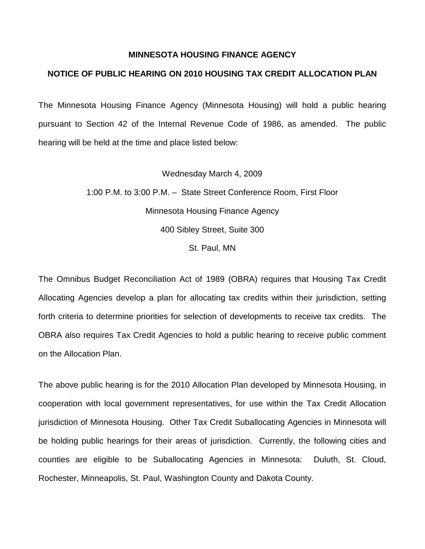## **MINNESOTA HOUSING FINANCE AGENCY**

## **NOTICE OF PUBLIC HEARING ON 2010 HOUSING TAX CREDIT ALLOCATION PLAN**

The Minnesota Housing Finance Agency (Minnesota Housing) will hold a public hearing pursuant to Section 42 of the Internal Revenue Code of 1986, as amended. The public hearing will be held at the time and place listed below:

> Wednesday March 4, 2009 1:00 P.M. to 3:00 P.M. – State Street Conference Room, First Floor Minnesota Housing Finance Agency 400 Sibley Street, Suite 300 St. Paul, MN

The Omnibus Budget Reconciliation Act of 1989 (OBRA) requires that Housing Tax Credit Allocating Agencies develop a plan for allocating tax credits within their jurisdiction, setting forth criteria to determine priorities for selection of developments to receive tax credits. The OBRA also requires Tax Credit Agencies to hold a public hearing to receive public comment on the Allocation Plan.

The above public hearing is for the 2010 Allocation Plan developed by Minnesota Housing, in cooperation with local government representatives, for use within the Tax Credit Allocation jurisdiction of Minnesota Housing. Other Tax Credit Suballocating Agencies in Minnesota will be holding public hearings for their areas of jurisdiction. Currently, the following cities and counties are eligible to be Suballocating Agencies in Minnesota: Duluth, St. Cloud, Rochester, Minneapolis, St. Paul, Washington County and Dakota County.